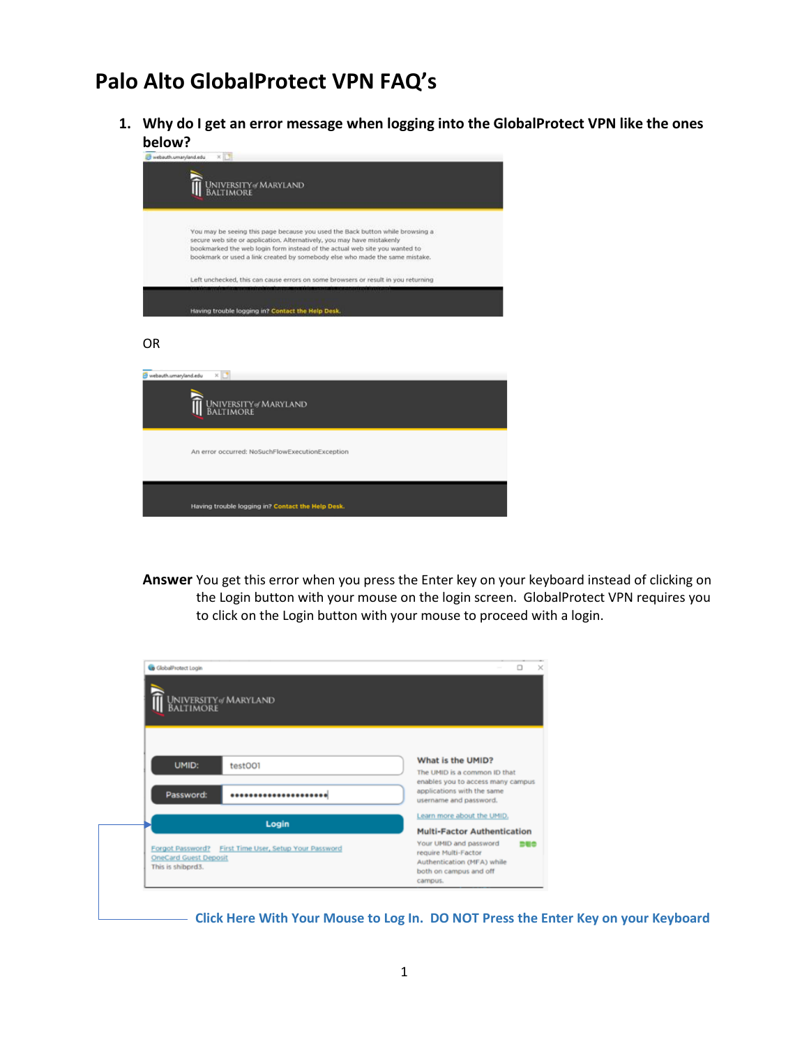## **Palo Alto GlobalProtect VPN FAQ's**

**1. Why do I get an error message when logging into the GlobalProtect VPN like the ones below?**

|                       | webauth.umaryland.edu<br>×<br>University of Maryland<br>Baltimore                                                                                                                                                                                                                                                    |
|-----------------------|----------------------------------------------------------------------------------------------------------------------------------------------------------------------------------------------------------------------------------------------------------------------------------------------------------------------|
|                       | You may be seeing this page because you used the Back button while browsing a<br>secure web site or application. Alternatively, you may have mistakenly<br>bookmarked the web login form instead of the actual web site you wanted to<br>bookmark or used a link created by somebody else who made the same mistake. |
|                       | Left unchecked, this can cause errors on some browsers or result in you returning                                                                                                                                                                                                                                    |
| 0R                    | Having trouble logging in? Contact the Help Desk.                                                                                                                                                                                                                                                                    |
| webauth.umaryland.edu | ×Е<br>University of Maryland<br>Baltimore                                                                                                                                                                                                                                                                            |
|                       | An error occurred: NoSuchFlowExecutionException                                                                                                                                                                                                                                                                      |
|                       | Having trouble logging in? Contact the Help Desk.                                                                                                                                                                                                                                                                    |

**Answer** You get this error when you press the Enter key on your keyboard instead of clicking on the Login button with your mouse on the login screen. GlobalProtect VPN requires you to click on the Login button with your mouse to proceed with a login.

|                              | University of Maryland<br>Baltimore                   |                                                                   |
|------------------------------|-------------------------------------------------------|-------------------------------------------------------------------|
|                              |                                                       |                                                                   |
|                              |                                                       |                                                                   |
| UMID:                        | test001                                               | What is the UMID?                                                 |
|                              |                                                       | The UMID is a common ID that<br>enables you to access many campus |
| Password:                    | *********************                                 | applications with the same<br>username and password.              |
|                              |                                                       | Learn more about the UMID,                                        |
|                              | Login                                                 | <b>Multi-Factor Authentication</b>                                |
|                              | Forgot Password? First Time User, Setup Your Password | Your UMID and password<br><b>DUC</b>                              |
| <b>OneCard Guest Deposit</b> |                                                       | require Multi-Factor<br>Authentication (MFA) while                |
| This is shibprd3.            |                                                       | both on campus and off                                            |

**Click Here With Your Mouse to Log In. DO NOT Press the Enter Key on your Keyboard**